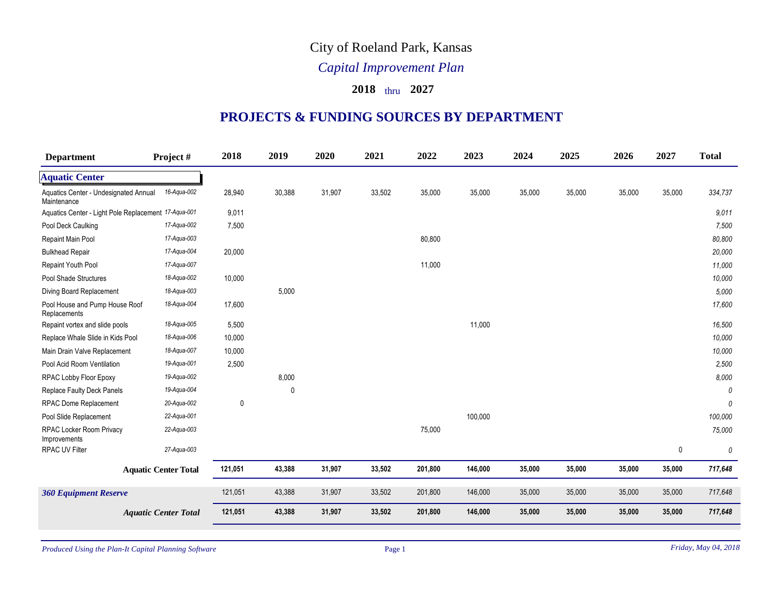## City of Roeland Park, Kansas

## *Capital Improvement Plan*

## **2018** thru **2027**

## **PROJECTS & FUNDING SOURCES BY DEPARTMENT**

| <b>Department</b>                                    | Project #                   | 2018    | 2019        | 2020   | 2021   | 2022    | 2023    | 2024   | 2025   | 2026   | 2027        | <b>Total</b> |
|------------------------------------------------------|-----------------------------|---------|-------------|--------|--------|---------|---------|--------|--------|--------|-------------|--------------|
| <b>Aquatic Center</b>                                |                             |         |             |        |        |         |         |        |        |        |             |              |
| Aquatics Center - Undesignated Annual<br>Maintenance | 16-Aqua-002                 | 28,940  | 30,388      | 31,907 | 33,502 | 35,000  | 35,000  | 35,000 | 35,000 | 35,000 | 35,000      | 334,737      |
| Aquatics Center - Light Pole Replacement 17-Aqua-001 |                             | 9,011   |             |        |        |         |         |        |        |        |             | 9,011        |
| Pool Deck Caulking                                   | 17-Aqua-002                 | 7,500   |             |        |        |         |         |        |        |        |             | 7,500        |
| Repaint Main Pool                                    | 17-Aqua-003                 |         |             |        |        | 80,800  |         |        |        |        |             | 80,800       |
| <b>Bulkhead Repair</b>                               | 17-Aqua-004                 | 20,000  |             |        |        |         |         |        |        |        |             | 20,000       |
| Repaint Youth Pool                                   | 17-Aqua-007                 |         |             |        |        | 11,000  |         |        |        |        |             | 11,000       |
| Pool Shade Structures                                | 18-Aqua-002                 | 10,000  |             |        |        |         |         |        |        |        |             | 10,000       |
| Diving Board Replacement                             | 18-Aqua-003                 |         | 5,000       |        |        |         |         |        |        |        |             | 5,000        |
| Pool House and Pump House Roof<br>Replacements       | 18-Aqua-004                 | 17,600  |             |        |        |         |         |        |        |        |             | 17,600       |
| Repaint vortex and slide pools                       | 18-Aqua-005                 | 5,500   |             |        |        |         | 11,000  |        |        |        |             | 16,500       |
| Replace Whale Slide in Kids Pool                     | 18-Aqua-006                 | 10,000  |             |        |        |         |         |        |        |        |             | 10,000       |
| Main Drain Valve Replacement                         | 18-Aqua-007                 | 10,000  |             |        |        |         |         |        |        |        |             | 10,000       |
| Pool Acid Room Ventilation                           | 19-Aqua-001                 | 2,500   |             |        |        |         |         |        |        |        |             | 2,500        |
| RPAC Lobby Floor Epoxy                               | 19-Aqua-002                 |         | 8,000       |        |        |         |         |        |        |        |             | 8,000        |
| <b>Replace Faulty Deck Panels</b>                    | 19-Aqua-004                 |         | $\mathbf 0$ |        |        |         |         |        |        |        |             | 0            |
| RPAC Dome Replacement                                | 20-Aqua-002                 | 0       |             |        |        |         |         |        |        |        |             | 0            |
| Pool Slide Replacement                               | 22-Aqua-001                 |         |             |        |        |         | 100,000 |        |        |        |             | 100,000      |
| RPAC Locker Room Privacy<br>Improvements             | 22-Aqua-003                 |         |             |        |        | 75,000  |         |        |        |        |             | 75,000       |
| <b>RPAC UV Filter</b>                                | 27-Aqua-003                 |         |             |        |        |         |         |        |        |        | $\mathbf 0$ | 0            |
|                                                      | <b>Aquatic Center Total</b> | 121,051 | 43,388      | 31,907 | 33,502 | 201,800 | 146,000 | 35,000 | 35,000 | 35,000 | 35,000      | 717,648      |
| <b>360 Equipment Reserve</b>                         |                             | 121,051 | 43,388      | 31,907 | 33,502 | 201,800 | 146,000 | 35,000 | 35,000 | 35,000 | 35,000      | 717,648      |
|                                                      | <b>Aquatic Center Total</b> | 121,051 | 43,388      | 31,907 | 33,502 | 201,800 | 146,000 | 35,000 | 35,000 | 35,000 | 35,000      | 717,648      |

Produced Using the Plan-It Capital Planning Software Page 1 *Friday, May 04, 2018*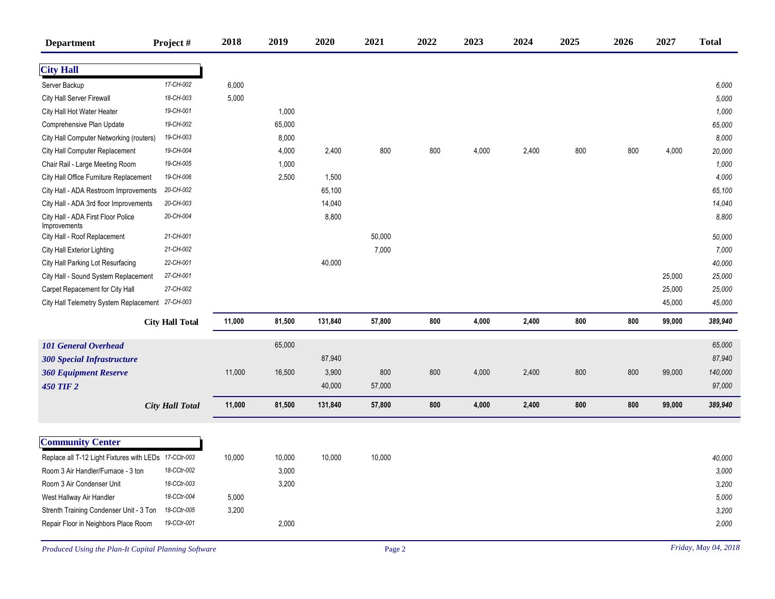| <b>Department</b>                                     | Project #              | 2018   | 2019   | 2020    | 2021   | 2022 | 2023  | 2024  | 2025 | 2026 | 2027   | <b>Total</b> |
|-------------------------------------------------------|------------------------|--------|--------|---------|--------|------|-------|-------|------|------|--------|--------------|
| <b>City Hall</b>                                      |                        |        |        |         |        |      |       |       |      |      |        |              |
| Server Backup                                         | 17-CH-002              | 6,000  |        |         |        |      |       |       |      |      |        | 6,000        |
| <b>City Hall Server Firewall</b>                      | 18-CH-003              | 5,000  |        |         |        |      |       |       |      |      |        | 5,000        |
| City Hall Hot Water Heater                            | 19-CH-001              |        | 1,000  |         |        |      |       |       |      |      |        | 1,000        |
| Comprehensive Plan Update                             | 19-CH-002              |        | 65,000 |         |        |      |       |       |      |      |        | 65,000       |
| City Hall Computer Networking (routers)               | 19-CH-003              |        | 8,000  |         |        |      |       |       |      |      |        | 8,000        |
| City Hall Computer Replacement                        | 19-CH-004              |        | 4,000  | 2,400   | 800    | 800  | 4,000 | 2,400 | 800  | 800  | 4,000  | 20,000       |
| Chair Rail - Large Meeting Room                       | 19-CH-005              |        | 1,000  |         |        |      |       |       |      |      |        | 1,000        |
| City Hall Office Furniture Replacement                | 19-CH-006              |        | 2,500  | 1,500   |        |      |       |       |      |      |        | 4,000        |
| City Hall - ADA Restroom Improvements                 | 20-CH-002              |        |        | 65,100  |        |      |       |       |      |      |        | 65,100       |
| City Hall - ADA 3rd floor Improvements                | 20-CH-003              |        |        | 14,040  |        |      |       |       |      |      |        | 14,040       |
| City Hall - ADA First Floor Police<br>Improvements    | 20-CH-004              |        |        | 8,800   |        |      |       |       |      |      |        | 8,800        |
| City Hall - Roof Replacement                          | 21-CH-001              |        |        |         | 50,000 |      |       |       |      |      |        | 50,000       |
| City Hall Exterior Lighting                           | 21-CH-002              |        |        |         | 7,000  |      |       |       |      |      |        | 7,000        |
| City Hall Parking Lot Resurfacing                     | 22-CH-001              |        |        | 40,000  |        |      |       |       |      |      |        | 40,000       |
| City Hall - Sound System Replacement                  | 27-CH-001              |        |        |         |        |      |       |       |      |      | 25,000 | 25,000       |
| Carpet Repacement for City Hall                       | 27-CH-002              |        |        |         |        |      |       |       |      |      | 25,000 | 25,000       |
| City Hall Telemetry System Replacement 27-CH-003      |                        |        |        |         |        |      |       |       |      |      | 45,000 | 45,000       |
|                                                       | <b>City Hall Total</b> | 11,000 | 81,500 | 131,840 | 57,800 | 800  | 4,000 | 2,400 | 800  | 800  | 99,000 | 389,940      |
| <b>101 General Overhead</b>                           |                        |        | 65,000 |         |        |      |       |       |      |      |        | 65,000       |
| <b>300 Special Infrastructure</b>                     |                        |        |        | 87,940  |        |      |       |       |      |      |        | 87,940       |
| <b>360 Equipment Reserve</b>                          |                        | 11,000 | 16,500 | 3,900   | 800    | 800  | 4,000 | 2,400 | 800  | 800  | 99,000 | 140,000      |
| <b>450 TIF 2</b>                                      |                        |        |        | 40,000  | 57,000 |      |       |       |      |      |        | 97,000       |
|                                                       |                        |        |        |         |        |      |       |       |      |      |        |              |
|                                                       | <b>City Hall Total</b> | 11,000 | 81,500 | 131,840 | 57,800 | 800  | 4,000 | 2,400 | 800  | 800  | 99,000 | 389,940      |
|                                                       |                        |        |        |         |        |      |       |       |      |      |        |              |
| <b>Community Center</b>                               |                        |        |        |         |        |      |       |       |      |      |        |              |
| Replace all T-12 Light Fixtures with LEDs 17-CCtr-003 |                        | 10,000 | 10,000 | 10,000  | 10,000 |      |       |       |      |      |        | 40,000       |
| Room 3 Air Handler/Furnace - 3 ton                    | 18-CCtr-002            |        | 3,000  |         |        |      |       |       |      |      |        | 3,000        |
| Room 3 Air Condenser Unit                             | 18-CCtr-003            |        | 3,200  |         |        |      |       |       |      |      |        | 3,200        |
| West Hallway Air Handler                              | 18-CCtr-004            | 5,000  |        |         |        |      |       |       |      |      |        | 5,000        |
| Strenth Training Condenser Unit - 3 Ton               | 18-CCtr-005            | 3,200  |        |         |        |      |       |       |      |      |        | 3,200        |
| Repair Floor in Neighbors Place Room                  | 19-CCtr-001            |        | 2,000  |         |        |      |       |       |      |      |        | 2,000        |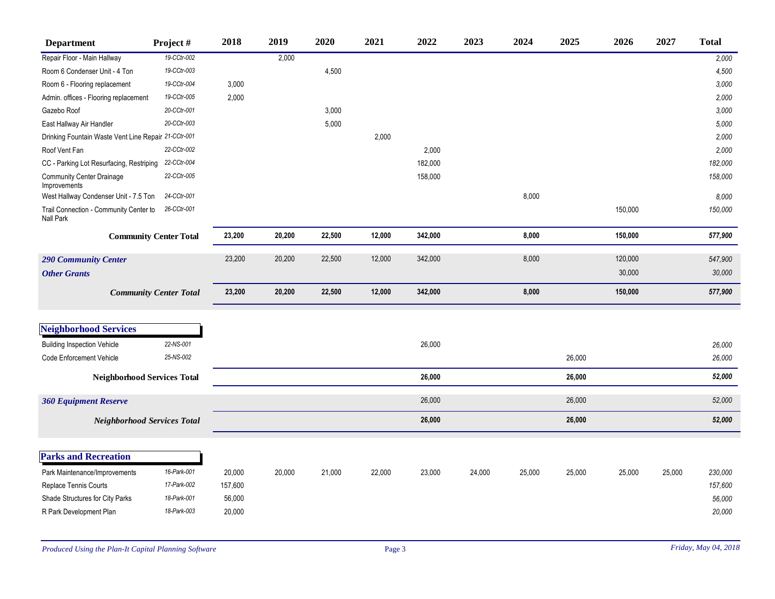| <b>Department</b>                                          | Project#                      | 2018    | 2019   | 2020   | 2021   | 2022    | 2023   | 2024   | 2025   | 2026    | 2027   | <b>Total</b> |
|------------------------------------------------------------|-------------------------------|---------|--------|--------|--------|---------|--------|--------|--------|---------|--------|--------------|
| Repair Floor - Main Hallway                                | 19-CCtr-002                   |         | 2,000  |        |        |         |        |        |        |         |        | 2,000        |
| Room 6 Condenser Unit - 4 Ton                              | 19-CCtr-003                   |         |        | 4,500  |        |         |        |        |        |         |        | 4,500        |
| Room 6 - Flooring replacement                              | 19-CCtr-004                   | 3,000   |        |        |        |         |        |        |        |         |        | 3,000        |
| Admin. offices - Flooring replacement                      | 19-CCtr-005                   | 2,000   |        |        |        |         |        |        |        |         |        | 2,000        |
| Gazebo Roof                                                | 20-CCtr-001                   |         |        | 3,000  |        |         |        |        |        |         |        | 3,000        |
| East Hallway Air Handler                                   | 20-CCtr-003                   |         |        | 5,000  |        |         |        |        |        |         |        | 5,000        |
| Drinking Fountain Waste Vent Line Repair 21-CCtr-001       |                               |         |        |        | 2,000  |         |        |        |        |         |        | 2,000        |
| Roof Vent Fan                                              | 22-CCtr-002                   |         |        |        |        | 2,000   |        |        |        |         |        | 2,000        |
| CC - Parking Lot Resurfacing, Restriping                   | 22-CCtr-004                   |         |        |        |        | 182,000 |        |        |        |         |        | 182,000      |
| <b>Community Center Drainage</b><br>Improvements           | 22-CCtr-005                   |         |        |        |        | 158,000 |        |        |        |         |        | 158,000      |
| West Hallway Condenser Unit - 7.5 Ton                      | 24-CCtr-001                   |         |        |        |        |         |        | 8,000  |        |         |        | 8,000        |
| Trail Connection - Community Center to<br><b>Nall Park</b> | 26-CCtr-001                   |         |        |        |        |         |        |        |        | 150,000 |        | 150,000      |
|                                                            | <b>Community Center Total</b> | 23,200  | 20,200 | 22,500 | 12,000 | 342,000 |        | 8,000  |        | 150,000 |        | 577,900      |
| <b>290 Community Center</b>                                |                               | 23,200  | 20,200 | 22,500 | 12,000 | 342,000 |        | 8,000  |        | 120,000 |        | 547,900      |
| <b>Other Grants</b>                                        |                               |         |        |        |        |         |        |        |        | 30,000  |        | 30,000       |
|                                                            | <b>Community Center Total</b> | 23,200  | 20,200 | 22,500 | 12,000 | 342,000 |        | 8,000  |        | 150,000 |        | 577,900      |
|                                                            |                               |         |        |        |        |         |        |        |        |         |        |              |
| <b>Neighborhood Services</b>                               |                               |         |        |        |        |         |        |        |        |         |        |              |
| <b>Building Inspection Vehicle</b>                         | 22-NS-001                     |         |        |        |        | 26,000  |        |        |        |         |        | 26,000       |
| <b>Code Enforcement Vehicle</b>                            | 25-NS-002                     |         |        |        |        |         |        |        | 26,000 |         |        | 26,000       |
| <b>Neighborhood Services Total</b>                         |                               |         |        |        |        | 26,000  |        |        | 26,000 |         |        | 52,000       |
| <b>360 Equipment Reserve</b>                               |                               |         |        |        |        | 26,000  |        |        | 26,000 |         |        | 52,000       |
| <b>Neighborhood Services Total</b>                         |                               |         |        |        |        | 26,000  |        |        | 26,000 |         |        | 52,000       |
|                                                            |                               |         |        |        |        |         |        |        |        |         |        |              |
| <b>Parks and Recreation</b>                                |                               |         |        |        |        |         |        |        |        |         |        |              |
| Park Maintenance/Improvements                              | 16-Park-001                   | 20,000  | 20,000 | 21,000 | 22,000 | 23,000  | 24,000 | 25,000 | 25,000 | 25,000  | 25,000 | 230,000      |
| <b>Replace Tennis Courts</b>                               | 17-Park-002                   | 157,600 |        |        |        |         |        |        |        |         |        | 157,600      |
| Shade Structures for City Parks                            | 18-Park-001                   | 56,000  |        |        |        |         |        |        |        |         |        | 56,000       |
| R Park Development Plan                                    | 18-Park-003                   | 20,000  |        |        |        |         |        |        |        |         |        | 20,000       |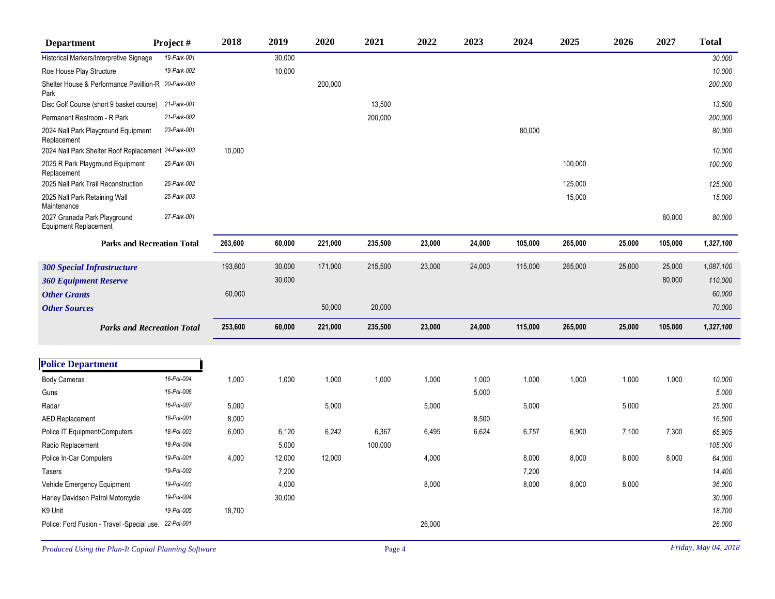| <b>Department</b>                                           | Project#                          | 2018    | 2019   | 2020    | 2021    | 2022   | 2023   | 2024    | 2025    | 2026   | 2027    | <b>Total</b> |
|-------------------------------------------------------------|-----------------------------------|---------|--------|---------|---------|--------|--------|---------|---------|--------|---------|--------------|
| Historical Markers/Interpretive Signage                     | 19-Park-001                       |         | 30,000 |         |         |        |        |         |         |        |         | 30,000       |
| Roe House Play Structure                                    | 19-Park-002                       |         | 10,000 |         |         |        |        |         |         |        |         | 10,000       |
| Shelter House & Performance Pavillion-R 20-Park-003<br>Park |                                   |         |        | 200,000 |         |        |        |         |         |        |         | 200,000      |
| Disc Golf Course (short 9 basket course)                    | 21-Park-001                       |         |        |         | 13,500  |        |        |         |         |        |         | 13,500       |
| Permanent Restroom - R Park                                 | 21-Park-002                       |         |        |         | 200,000 |        |        |         |         |        |         | 200,000      |
| 2024 Nall Park Playground Equipment<br>Replacement          | 23-Park-001                       |         |        |         |         |        |        | 80,000  |         |        |         | 80,000       |
| 2024 Nall Park Shelter Roof Replacement 24-Park-003         |                                   | 10,000  |        |         |         |        |        |         |         |        |         | 10,000       |
| 2025 R Park Playground Equipment<br>Replacement             | 25-Park-001                       |         |        |         |         |        |        |         | 100,000 |        |         | 100,000      |
| 2025 Nall Park Trail Reconstruction                         | 25-Park-002                       |         |        |         |         |        |        |         | 125,000 |        |         | 125,000      |
| 2025 Nall Park Retaining Wall<br>Maintenance                | 25-Park-003                       |         |        |         |         |        |        |         | 15,000  |        |         | 15,000       |
| 2027 Granada Park Playground<br>Equipment Replacement       | 27-Park-001                       |         |        |         |         |        |        |         |         |        | 80,000  | 80,000       |
|                                                             | <b>Parks and Recreation Total</b> | 263,600 | 60,000 | 221,000 | 235,500 | 23,000 | 24,000 | 105,000 | 265,000 | 25,000 | 105,000 | 1,327,100    |
| <b>300 Special Infrastructure</b>                           |                                   | 193,600 | 30,000 | 171,000 | 215,500 | 23,000 | 24,000 | 115,000 | 265,000 | 25,000 | 25,000  | 1,087,100    |
| <b>360 Equipment Reserve</b>                                |                                   |         | 30,000 |         |         |        |        |         |         |        | 80,000  | 110,000      |
| <b>Other Grants</b>                                         |                                   | 60,000  |        |         |         |        |        |         |         |        |         | 60,000       |
| <b>Other Sources</b>                                        |                                   |         |        | 50,000  | 20,000  |        |        |         |         |        |         | 70,000       |
|                                                             | <b>Parks and Recreation Total</b> | 253,600 | 60,000 | 221,000 | 235,500 | 23,000 | 24,000 | 115,000 | 265,000 | 25,000 | 105,000 | 1,327,100    |
|                                                             |                                   |         |        |         |         |        |        |         |         |        |         |              |
| <b>Police Department</b>                                    |                                   |         |        |         |         |        |        |         |         |        |         |              |
| <b>Body Cameras</b>                                         | 16-Pol-004                        | 1,000   | 1,000  | 1,000   | 1,000   | 1,000  | 1,000  | 1,000   | 1,000   | 1,000  | 1,000   | 10,000       |
| Guns                                                        | 16-Pol-006                        |         |        |         |         |        | 5,000  |         |         |        |         | 5,000        |
| Radar                                                       | 16-Pol-007                        | 5,000   |        | 5,000   |         | 5,000  |        | 5,000   |         | 5,000  |         | 25,000       |
| <b>AED Replacement</b>                                      | 18-Pol-001                        | 8,000   |        |         |         |        | 8,500  |         |         |        |         | 16,500       |
| Police IT Equipment/Computers                               | 18-Pol-003                        | 6,000   | 6,120  | 6,242   | 6,367   | 6,495  | 6,624  | 6,757   | 6,900   | 7,100  | 7,300   | 65,905       |
| Radio Replacement                                           | 18-Pol-004                        |         | 5,000  |         | 100,000 |        |        |         |         |        |         | 105,000      |
| Police In-Car Computers                                     | 19-Pol-001                        | 4,000   | 12,000 | 12,000  |         | 4,000  |        | 8,000   | 8,000   | 8,000  | 8,000   | 64,000       |
| Tasers                                                      | 19-Pol-002                        |         | 7,200  |         |         |        |        | 7,200   |         |        |         | 14,400       |
| Vehicle Emergency Equipment                                 | 19-Pol-003                        |         | 4,000  |         |         | 8,000  |        | 8,000   | 8,000   | 8,000  |         | 36,000       |
| Harley Davidson Patrol Motorcycle                           | 19-Pol-004                        |         | 30,000 |         |         |        |        |         |         |        |         | 30,000       |
| K9 Unit                                                     | 19-Pol-005                        | 18,700  |        |         |         |        |        |         |         |        |         | 18,700       |
| Police: Ford Fusion - Travel -Special use. 22-Pol-001       |                                   |         |        |         |         | 26,000 |        |         |         |        |         | 26,000       |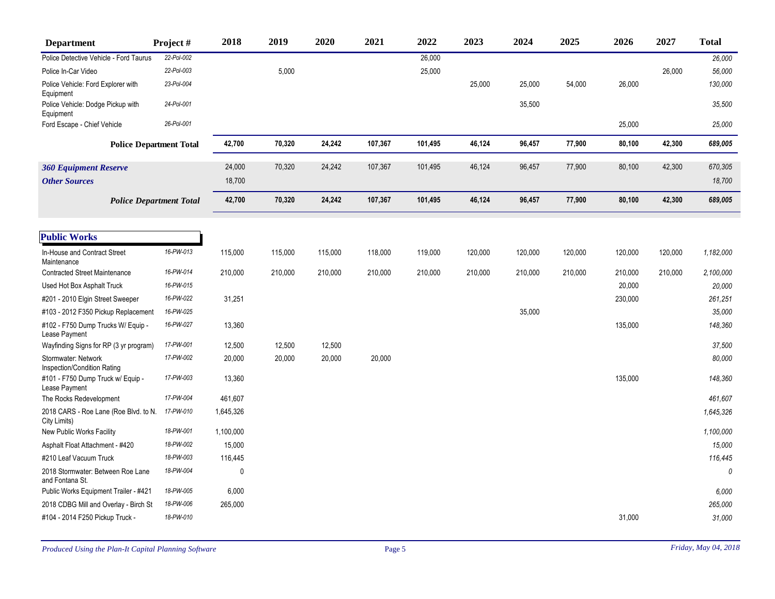| <b>Department</b>                                     | Project #    | 2018         | 2019    | 2020    | 2021    | 2022    | 2023    | 2024    | 2025    | 2026    | 2027    | <b>Total</b> |
|-------------------------------------------------------|--------------|--------------|---------|---------|---------|---------|---------|---------|---------|---------|---------|--------------|
| Police Detective Vehicle - Ford Taurus                | $22-Pol-002$ |              |         |         |         | 26,000  |         |         |         |         |         | 26,000       |
| Police In-Car Video                                   | 22-Pol-003   |              | 5,000   |         |         | 25,000  |         |         |         |         | 26,000  | 56,000       |
| Police Vehicle: Ford Explorer with<br>Equipment       | 23-Pol-004   |              |         |         |         |         | 25,000  | 25,000  | 54,000  | 26,000  |         | 130,000      |
| Police Vehicle: Dodge Pickup with<br>Equipment        | 24-Pol-001   |              |         |         |         |         |         | 35,500  |         |         |         | 35,500       |
| Ford Escape - Chief Vehicle                           | 26-Pol-001   |              |         |         |         |         |         |         |         | 25,000  |         | 25,000       |
| <b>Police Department Total</b>                        |              | 42,700       | 70,320  | 24,242  | 107,367 | 101,495 | 46,124  | 96,457  | 77,900  | 80,100  | 42,300  | 689,005      |
| <b>360 Equipment Reserve</b>                          |              | 24,000       | 70,320  | 24,242  | 107,367 | 101,495 | 46,124  | 96,457  | 77,900  | 80,100  | 42,300  | 670,305      |
| <b>Other Sources</b>                                  |              | 18,700       |         |         |         |         |         |         |         |         |         | 18,700       |
| <b>Police Department Total</b>                        |              | 42,700       | 70,320  | 24,242  | 107,367 | 101,495 | 46,124  | 96,457  | 77,900  | 80,100  | 42,300  | 689,005      |
| <b>Public Works</b>                                   |              |              |         |         |         |         |         |         |         |         |         |              |
| In-House and Contract Street<br>Maintenance           | 16-PW-013    | 115,000      | 115,000 | 115,000 | 118,000 | 119,000 | 120,000 | 120,000 | 120,000 | 120,000 | 120,000 | 1,182,000    |
| <b>Contracted Street Maintenance</b>                  | 16-PW-014    | 210,000      | 210,000 | 210,000 | 210,000 | 210,000 | 210,000 | 210,000 | 210,000 | 210,000 | 210,000 | 2,100,000    |
| Used Hot Box Asphalt Truck                            | 16-PW-015    |              |         |         |         |         |         |         |         | 20,000  |         | 20,000       |
| #201 - 2010 Elgin Street Sweeper                      | 16-PW-022    | 31,251       |         |         |         |         |         |         |         | 230,000 |         | 261,251      |
| #103 - 2012 F350 Pickup Replacement                   | 16-PW-025    |              |         |         |         |         |         | 35,000  |         |         |         | 35,000       |
| #102 - F750 Dump Trucks W/ Equip -<br>Lease Payment   | 16-PW-027    | 13,360       |         |         |         |         |         |         |         | 135,000 |         | 148,360      |
| Wayfinding Signs for RP (3 yr program)                | 17-PW-001    | 12,500       | 12,500  | 12,500  |         |         |         |         |         |         |         | 37,500       |
| Stormwater: Network<br>Inspection/Condition Rating    | 17-PW-002    | 20,000       | 20,000  | 20,000  | 20,000  |         |         |         |         |         |         | 80,000       |
| #101 - F750 Dump Truck w/ Equip -<br>Lease Payment    | 17-PW-003    | 13,360       |         |         |         |         |         |         |         | 135,000 |         | 148,360      |
| The Rocks Redevelopment                               | 17-PW-004    | 461,607      |         |         |         |         |         |         |         |         |         | 461,607      |
| 2018 CARS - Roe Lane (Roe Blvd. to N.<br>City Limits) | 17-PW-010    | 1,645,326    |         |         |         |         |         |         |         |         |         | 1,645,326    |
| New Public Works Facility                             | 18-PW-001    | 1,100,000    |         |         |         |         |         |         |         |         |         | 1,100,000    |
| Asphalt Float Attachment - #420                       | 18-PW-002    | 15,000       |         |         |         |         |         |         |         |         |         | 15,000       |
| #210 Leaf Vacuum Truck                                | 18-PW-003    | 116,445      |         |         |         |         |         |         |         |         |         | 116,445      |
| 2018 Stormwater: Between Roe Lane<br>and Fontana St.  | 18-PW-004    | $\mathbf{0}$ |         |         |         |         |         |         |         |         |         | 0            |
| Public Works Equipment Trailer - #421                 | 18-PW-005    | 6,000        |         |         |         |         |         |         |         |         |         | 6,000        |
| 2018 CDBG Mill and Overlay - Birch St                 | 18-PW-006    | 265,000      |         |         |         |         |         |         |         |         |         | 265,000      |
| #104 - 2014 F250 Pickup Truck -                       | 18-PW-010    |              |         |         |         |         |         |         |         | 31,000  |         | 31,000       |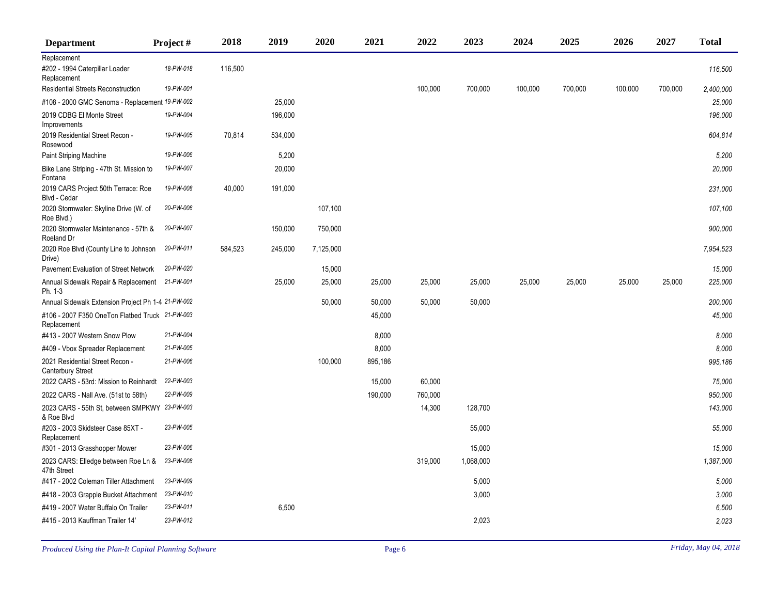| <b>Department</b>                                              | Project # | 2018    | 2019    | 2020      | 2021    | 2022    | 2023      | 2024    | 2025    | 2026    | 2027    | <b>Total</b> |
|----------------------------------------------------------------|-----------|---------|---------|-----------|---------|---------|-----------|---------|---------|---------|---------|--------------|
| Replacement                                                    |           |         |         |           |         |         |           |         |         |         |         |              |
| #202 - 1994 Caterpillar Loader<br>Replacement                  | 18-PW-018 | 116,500 |         |           |         |         |           |         |         |         |         | 116,500      |
| <b>Residential Streets Reconstruction</b>                      | 19-PW-001 |         |         |           |         | 100,000 | 700,000   | 100,000 | 700,000 | 100,000 | 700,000 | 2,400,000    |
| #108 - 2000 GMC Senoma - Replacement 19-PW-002                 |           |         | 25,000  |           |         |         |           |         |         |         |         | 25,000       |
| 2019 CDBG El Monte Street<br>Improvements                      | 19-PW-004 |         | 196,000 |           |         |         |           |         |         |         |         | 196,000      |
| 2019 Residential Street Recon -<br>Rosewood                    | 19-PW-005 | 70,814  | 534,000 |           |         |         |           |         |         |         |         | 604,814      |
| <b>Paint Striping Machine</b>                                  | 19-PW-006 |         | 5,200   |           |         |         |           |         |         |         |         | 5,200        |
| Bike Lane Striping - 47th St. Mission to<br>Fontana            | 19-PW-007 |         | 20,000  |           |         |         |           |         |         |         |         | 20,000       |
| 2019 CARS Project 50th Terrace: Roe<br>Blvd - Cedar            | 19-PW-008 | 40,000  | 191,000 |           |         |         |           |         |         |         |         | 231,000      |
| 2020 Stormwater: Skyline Drive (W. of<br>Roe Blvd.)            | 20-PW-006 |         |         | 107,100   |         |         |           |         |         |         |         | 107,100      |
| 2020 Stormwater Maintenance - 57th &<br>Roeland Dr             | 20-PW-007 |         | 150,000 | 750,000   |         |         |           |         |         |         |         | 900,000      |
| 2020 Roe Blvd (County Line to Johnson<br>Drive)                | 20-PW-011 | 584,523 | 245,000 | 7,125,000 |         |         |           |         |         |         |         | 7,954,523    |
| Pavement Evaluation of Street Network                          | 20-PW-020 |         |         | 15,000    |         |         |           |         |         |         |         | 15,000       |
| Annual Sidewalk Repair & Replacement 21-PW-001<br>Ph. 1-3      |           |         | 25,000  | 25,000    | 25,000  | 25,000  | 25,000    | 25,000  | 25,000  | 25,000  | 25,000  | 225,000      |
| Annual Sidewalk Extension Project Ph 1-4 21-PW-002             |           |         |         | 50,000    | 50,000  | 50,000  | 50,000    |         |         |         |         | 200,000      |
| #106 - 2007 F350 OneTon Flatbed Truck 21-PW-003<br>Replacement |           |         |         |           | 45,000  |         |           |         |         |         |         | 45,000       |
| #413 - 2007 Western Snow Plow                                  | 21-PW-004 |         |         |           | 8,000   |         |           |         |         |         |         | 8,000        |
| #409 - Vbox Spreader Replacement                               | 21-PW-005 |         |         |           | 8,000   |         |           |         |         |         |         | 8.000        |
| 2021 Residential Street Recon -<br><b>Canterbury Street</b>    | 21-PW-006 |         |         | 100,000   | 895,186 |         |           |         |         |         |         | 995,186      |
| 2022 CARS - 53rd: Mission to Reinhardt                         | 22-PW-003 |         |         |           | 15,000  | 60,000  |           |         |         |         |         | 75,000       |
| 2022 CARS - Nall Ave. (51st to 58th)                           | 22-PW-009 |         |         |           | 190,000 | 760,000 |           |         |         |         |         | 950,000      |
| 2023 CARS - 55th St, between SMPKWY 23-PW-003<br>& Roe Blvd    |           |         |         |           |         | 14,300  | 128,700   |         |         |         |         | 143,000      |
| #203 - 2003 Skidsteer Case 85XT -<br>Replacement               | 23-PW-005 |         |         |           |         |         | 55,000    |         |         |         |         | 55,000       |
| #301 - 2013 Grasshopper Mower                                  | 23-PW-006 |         |         |           |         |         | 15,000    |         |         |         |         | 15,000       |
| 2023 CARS: Elledge between Roe Ln &<br>47th Street             | 23-PW-008 |         |         |           |         | 319,000 | 1,068,000 |         |         |         |         | 1,387,000    |
| #417 - 2002 Coleman Tiller Attachment                          | 23-PW-009 |         |         |           |         |         | 5,000     |         |         |         |         | 5,000        |
| #418 - 2003 Grapple Bucket Attachment                          | 23-PW-010 |         |         |           |         |         | 3,000     |         |         |         |         | 3,000        |
| #419 - 2007 Water Buffalo On Trailer                           | 23-PW-011 |         | 6,500   |           |         |         |           |         |         |         |         | 6,500        |
| #415 - 2013 Kauffman Trailer 14'                               | 23-PW-012 |         |         |           |         |         | 2,023     |         |         |         |         | 2,023        |